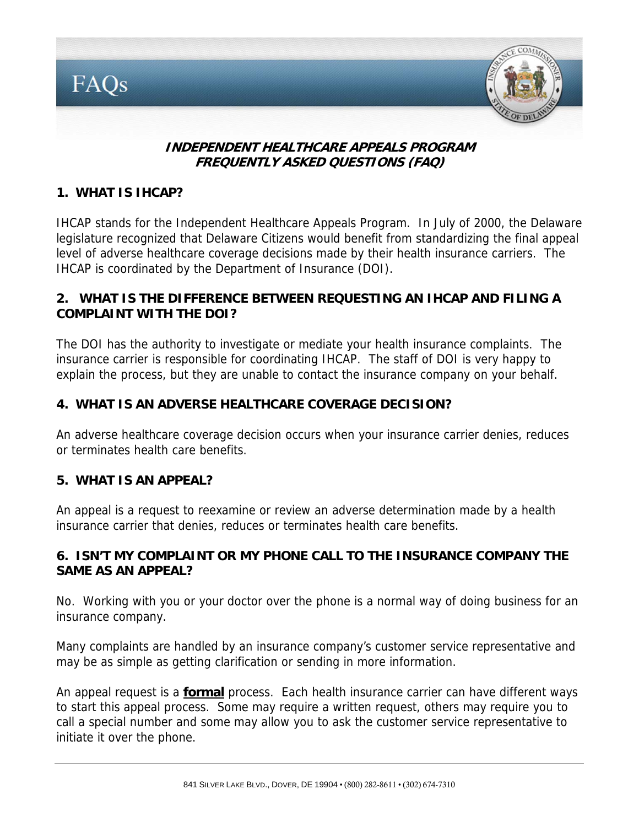

### **INDEPENDENT HEALTHCARE APPEALS PROGRAM FREQUENTLY ASKED QUESTIONS (FAQ)**

### **1. WHAT IS IHCAP?**

IHCAP stands for the Independent Healthcare Appeals Program. In July of 2000, the Delaware legislature recognized that Delaware Citizens would benefit from standardizing the final appeal level of adverse healthcare coverage decisions made by their health insurance carriers. The IHCAP is coordinated by the Department of Insurance (DOI).

### **2. WHAT IS THE DIFFERENCE BETWEEN REQUESTING AN IHCAP AND FILING A COMPLAINT WITH THE DOI?**

The DOI has the authority to investigate or mediate your health insurance complaints. The insurance carrier is responsible for coordinating IHCAP. The staff of DOI is very happy to explain the process, but they are unable to contact the insurance company on your behalf.

### **4. WHAT IS AN ADVERSE HEALTHCARE COVERAGE DECISION?**

An adverse healthcare coverage decision occurs when your insurance carrier denies, reduces or terminates health care benefits.

### **5. WHAT IS AN APPEAL?**

An appeal is a request to reexamine or review an adverse determination made by a health insurance carrier that denies, reduces or terminates health care benefits.

### **6. ISN'T MY COMPLAINT OR MY PHONE CALL TO THE INSURANCE COMPANY THE SAME AS AN APPEAL?**

No. Working with you or your doctor over the phone is a normal way of doing business for an insurance company.

Many complaints are handled by an insurance company's customer service representative and may be as simple as getting clarification or sending in more information.

An appeal request is a **formal** process. Each health insurance carrier can have different ways to start this appeal process. Some may require a written request, others may require you to call a special number and some may allow you to ask the customer service representative to initiate it over the phone.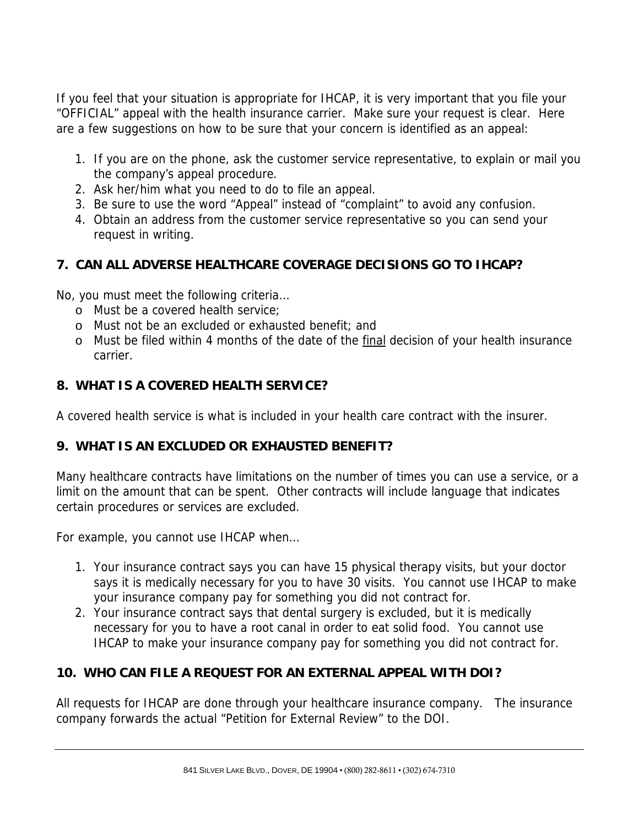If you feel that your situation is appropriate for IHCAP, it is very important that you file your "OFFICIAL" appeal with the health insurance carrier. Make sure your request is clear. Here are a few suggestions on how to be sure that your concern is identified as an appeal:

- 1. If you are on the phone, ask the customer service representative, to explain or mail you the company's appeal procedure.
- 2. Ask her/him what you need to do to file an appeal.
- 3. Be sure to use the word "Appeal" instead of "complaint" to avoid any confusion.
- 4. Obtain an address from the customer service representative so you can send your request in writing.

### **7. CAN ALL ADVERSE HEALTHCARE COVERAGE DECISIONS GO TO IHCAP?**

No, you must meet the following criteria…

- o Must be a covered health service;
- o Must not be an excluded or exhausted benefit; and
- o Must be filed within 4 months of the date of the final decision of your health insurance carrier.

# **8. WHAT IS A COVERED HEALTH SERVICE?**

A covered health service is what is included in your health care contract with the insurer.

# **9. WHAT IS AN EXCLUDED OR EXHAUSTED BENEFIT?**

Many healthcare contracts have limitations on the number of times you can use a service, or a limit on the amount that can be spent. Other contracts will include language that indicates certain procedures or services are excluded.

For example, you cannot use IHCAP when…

- 1. Your insurance contract says you can have 15 physical therapy visits, but your doctor says it is medically necessary for you to have 30 visits. You cannot use IHCAP to make your insurance company pay for something you did not contract for.
- 2. Your insurance contract says that dental surgery is excluded, but it is medically necessary for you to have a root canal in order to eat solid food. You cannot use IHCAP to make your insurance company pay for something you did not contract for.

# **10. WHO CAN FILE A REQUEST FOR AN EXTERNAL APPEAL WITH DOI?**

All requests for IHCAP are done through your healthcare insurance company. The insurance company forwards the actual "Petition for External Review" to the DOI.